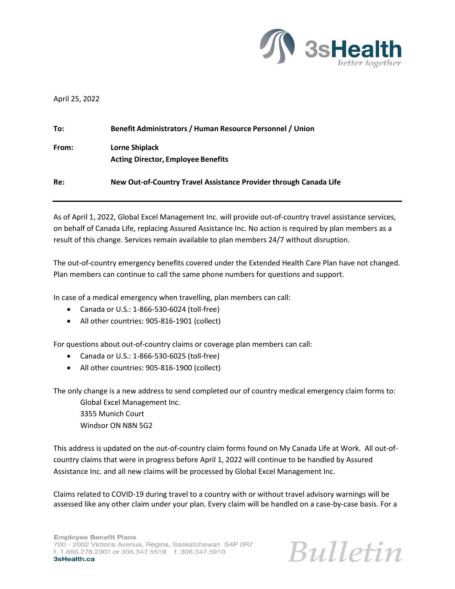

## April 25, 2022

| To:   | Benefit Administrators / Human Resource Personnel / Union         |
|-------|-------------------------------------------------------------------|
| From: | Lorne Shiplack<br><b>Acting Director, Employee Benefits</b>       |
| Re:   | New Out-of-Country Travel Assistance Provider through Canada Life |

As of April 1, 2022, Global Excel Management Inc. will provide out-of-country travel assistance services, on behalf of Canada Life, replacing Assured Assistance Inc. No action is required by plan members as a result of this change. Services remain available to plan members 24/7 without disruption.

The out-of-country emergency benefits covered under the Extended Health Care Plan have not changed. Plan members can continue to call the same phone numbers for questions and support.

In case of a medical emergency when travelling, plan members can call:

- Canada or U.S.: 1-866-530-6024 (toll-free)
- All other countries: 905-816-1901 (collect)

For questions about out-of-country claims or coverage plan members can call:

- Canada or U.S.: 1-866-530-6025 (toll-free)
- All other countries: 905-816-1900 (collect)

The only change is a new address to send completed our of country medical emergency claim forms to:

Global Excel Management Inc. 3355 Munich Court

Windsor ON N8N 5G2

This address is updated on the out-of-country claim forms found on My Canada Life at Work. All out-ofcountry claims that were in progress before April 1, 2022 will continue to be handled by Assured Assistance Inc. and all new claims will be processed by Global Excel Management Inc.

Claims related to COVID-19 during travel to a country with or without travel advisory warnings will be assessed like any other claim under your plan. Every claim will be handled on a case-by-case basis. For a